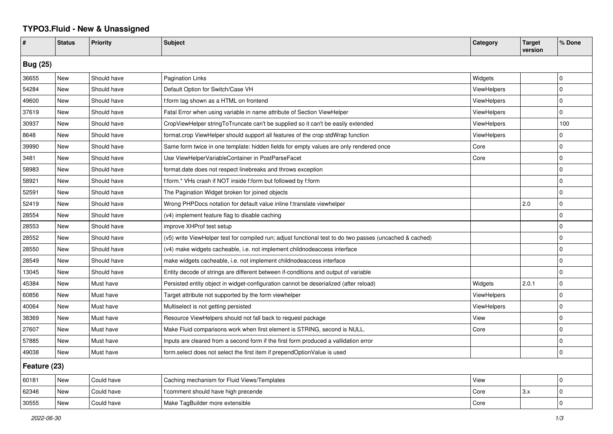## **TYPO3.Fluid - New & Unassigned**

| #               | <b>Status</b> | <b>Priority</b> | <b>Subject</b>                                                                                           | Category           | <b>Target</b><br>version | % Done      |  |  |
|-----------------|---------------|-----------------|----------------------------------------------------------------------------------------------------------|--------------------|--------------------------|-------------|--|--|
| <b>Bug (25)</b> |               |                 |                                                                                                          |                    |                          |             |  |  |
| 36655           | <b>New</b>    | Should have     | Pagination Links                                                                                         | Widgets            |                          | l 0         |  |  |
| 54284           | New           | Should have     | Default Option for Switch/Case VH                                                                        | <b>ViewHelpers</b> |                          | $\pmb{0}$   |  |  |
| 49600           | New           | Should have     | f:form tag shown as a HTML on frontend                                                                   | ViewHelpers        |                          | $\mathbf 0$ |  |  |
| 37619           | New           | Should have     | Fatal Error when using variable in name attribute of Section ViewHelper                                  | ViewHelpers        |                          | $\mathbf 0$ |  |  |
| 30937           | New           | Should have     | CropViewHelper stringToTruncate can't be supplied so it can't be easily extended                         | ViewHelpers        |                          | 100         |  |  |
| 8648            | New           | Should have     | format.crop ViewHelper should support all features of the crop stdWrap function                          | <b>ViewHelpers</b> |                          | $\mathbf 0$ |  |  |
| 39990           | New           | Should have     | Same form twice in one template: hidden fields for empty values are only rendered once                   | Core               |                          | $\mathbf 0$ |  |  |
| 3481            | <b>New</b>    | Should have     | Use ViewHelperVariableContainer in PostParseFacet                                                        | Core               |                          | $\mathbf 0$ |  |  |
| 58983           | New           | Should have     | format.date does not respect linebreaks and throws exception                                             |                    |                          | $\Omega$    |  |  |
| 58921           | New           | Should have     | f:form.* VHs crash if NOT inside f:form but followed by f:form                                           |                    |                          | $\pmb{0}$   |  |  |
| 52591           | New           | Should have     | The Pagination Widget broken for joined objects                                                          |                    |                          | $\mathbf 0$ |  |  |
| 52419           | New           | Should have     | Wrong PHPDocs notation for default value inline f:translate viewhelper                                   |                    | 2.0                      | $\mathbf 0$ |  |  |
| 28554           | <b>New</b>    | Should have     | (v4) implement feature flag to disable caching                                                           |                    |                          | $\mathbf 0$ |  |  |
| 28553           | New           | Should have     | improve XHProf test setup                                                                                |                    |                          | $\mathbf 0$ |  |  |
| 28552           | New           | Should have     | (v5) write ViewHelper test for compiled run; adjust functional test to do two passes (uncached & cached) |                    |                          | $\mathbf 0$ |  |  |
| 28550           | New           | Should have     | (v4) make widgets cacheable, i.e. not implement childnodeaccess interface                                |                    |                          | $\pmb{0}$   |  |  |
| 28549           | New           | Should have     | make widgets cacheable, i.e. not implement childnodeaccess interface                                     |                    |                          | $\Omega$    |  |  |
| 13045           | New           | Should have     | Entity decode of strings are different between if-conditions and output of variable                      |                    |                          | $\mathbf 0$ |  |  |
| 45384           | New           | Must have       | Persisted entity object in widget-configuration cannot be deserialized (after reload)                    | Widgets            | 2.0.1                    | $\mathbf 0$ |  |  |
| 60856           | <b>New</b>    | Must have       | Target attribute not supported by the form viewhelper                                                    | ViewHelpers        |                          | $\mathbf 0$ |  |  |
| 40064           | New           | Must have       | Multiselect is not getting persisted                                                                     | <b>ViewHelpers</b> |                          | $\mathbf 0$ |  |  |
| 38369           | New           | Must have       | Resource ViewHelpers should not fall back to request package                                             | View               |                          | $\mathbf 0$ |  |  |
| 27607           | <b>New</b>    | Must have       | Make Fluid comparisons work when first element is STRING, second is NULL.                                | Core               |                          | $\mathbf 0$ |  |  |
| 57885           | New           | Must have       | Inputs are cleared from a second form if the first form produced a vallidation error                     |                    |                          | $\Omega$    |  |  |
| 49038           | <b>New</b>    | Must have       | form.select does not select the first item if prependOptionValue is used                                 |                    |                          | 0           |  |  |
| Feature (23)    |               |                 |                                                                                                          |                    |                          |             |  |  |
| 60181           | New           | Could have      | Caching mechanism for Fluid Views/Templates                                                              | View               |                          | $\mathbf 0$ |  |  |
| 62346           | New           | Could have      | f:comment should have high precende                                                                      | Core               | 3.x                      | $\mathbf 0$ |  |  |
| 30555           | New           | Could have      | Make TagBuilder more extensible                                                                          | Core               |                          | $\Omega$    |  |  |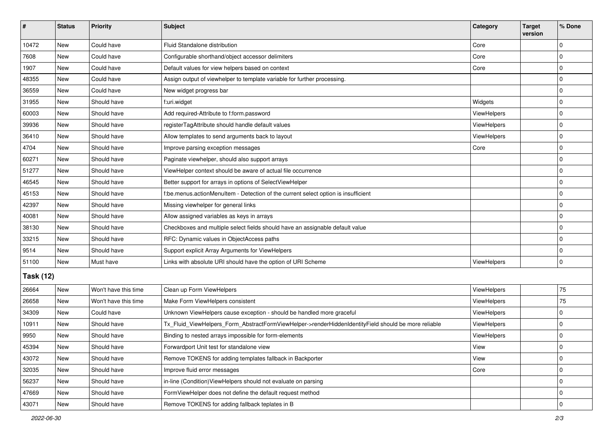| #                | <b>Status</b> | <b>Priority</b>      | Subject                                                                                             | Category    | <b>Target</b><br>version | % Done      |  |  |
|------------------|---------------|----------------------|-----------------------------------------------------------------------------------------------------|-------------|--------------------------|-------------|--|--|
| 10472            | New           | Could have           | Fluid Standalone distribution                                                                       | Core        |                          | $\Omega$    |  |  |
| 7608             | New           | Could have           | Configurable shorthand/object accessor delimiters                                                   | Core        |                          | 0           |  |  |
| 1907             | New           | Could have           | Default values for view helpers based on context                                                    | Core        |                          | $\Omega$    |  |  |
| 48355            | <b>New</b>    | Could have           | Assign output of viewhelper to template variable for further processing.                            |             |                          | 0           |  |  |
| 36559            | New           | Could have           | New widget progress bar                                                                             |             |                          | 0           |  |  |
| 31955            | New           | Should have          | f:uri.widget                                                                                        | Widgets     |                          | $\Omega$    |  |  |
| 60003            | <b>New</b>    | Should have          | Add required-Attribute to f:form.password                                                           | ViewHelpers |                          | 0           |  |  |
| 39936            | New           | Should have          | registerTagAttribute should handle default values                                                   | ViewHelpers |                          | 0           |  |  |
| 36410            | New           | Should have          | Allow templates to send arguments back to layout                                                    | ViewHelpers |                          | $\mathbf 0$ |  |  |
| 4704             | New           | Should have          | Improve parsing exception messages                                                                  | Core        |                          | $\Omega$    |  |  |
| 60271            | <b>New</b>    | Should have          | Paginate viewhelper, should also support arrays                                                     |             |                          | $\Omega$    |  |  |
| 51277            | <b>New</b>    | Should have          | ViewHelper context should be aware of actual file occurrence                                        |             |                          | $\Omega$    |  |  |
| 46545            | New           | Should have          | Better support for arrays in options of SelectViewHelper                                            |             |                          | $\Omega$    |  |  |
| 45153            | New           | Should have          | f:be.menus.actionMenuItem - Detection of the current select option is insufficient                  |             |                          | $\Omega$    |  |  |
| 42397            | New           | Should have          | Missing viewhelper for general links                                                                |             |                          | 0           |  |  |
| 40081            | <b>New</b>    | Should have          | Allow assigned variables as keys in arrays                                                          |             |                          | $\Omega$    |  |  |
| 38130            | <b>New</b>    | Should have          | Checkboxes and multiple select fields should have an assignable default value                       |             |                          | $\mathbf 0$ |  |  |
| 33215            | New           | Should have          | RFC: Dynamic values in ObjectAccess paths                                                           |             |                          | 0           |  |  |
| 9514             | New           | Should have          | Support explicit Array Arguments for ViewHelpers                                                    |             |                          | $\Omega$    |  |  |
| 51100            | <b>New</b>    | Must have            | Links with absolute URI should have the option of URI Scheme                                        | ViewHelpers |                          | $\mathbf 0$ |  |  |
| <b>Task (12)</b> |               |                      |                                                                                                     |             |                          |             |  |  |
| 26664            | New           | Won't have this time | Clean up Form ViewHelpers                                                                           | ViewHelpers |                          | 75          |  |  |
| 26658            | <b>New</b>    | Won't have this time | Make Form ViewHelpers consistent                                                                    | ViewHelpers |                          | 75          |  |  |
| 34309            | New           | Could have           | Unknown ViewHelpers cause exception - should be handled more graceful                               | ViewHelpers |                          | $\Omega$    |  |  |
| 10911            | New           | Should have          | Tx_Fluid_ViewHelpers_Form_AbstractFormViewHelper->renderHiddenIdentityField should be more reliable | ViewHelpers |                          | 0           |  |  |
| 9950             | New           | Should have          | Binding to nested arrays impossible for form-elements                                               | ViewHelpers |                          | 0           |  |  |
| 45394            | New           | Should have          | Forwardport Unit test for standalone view                                                           | View        |                          | 0           |  |  |
| 43072            | New           | Should have          | Remove TOKENS for adding templates fallback in Backporter                                           | View        |                          | $\Omega$    |  |  |
| 32035            | New           | Should have          | Improve fluid error messages                                                                        | Core        |                          | $\mathbf 0$ |  |  |
| 56237            | New           | Should have          | in-line (Condition) View Helpers should not evaluate on parsing                                     |             |                          | $\mathbf 0$ |  |  |
| 47669            | New           | Should have          | FormViewHelper does not define the default request method                                           |             |                          | 0           |  |  |
| 43071            | New           | Should have          | Remove TOKENS for adding fallback teplates in B                                                     |             |                          | $\mathbf 0$ |  |  |